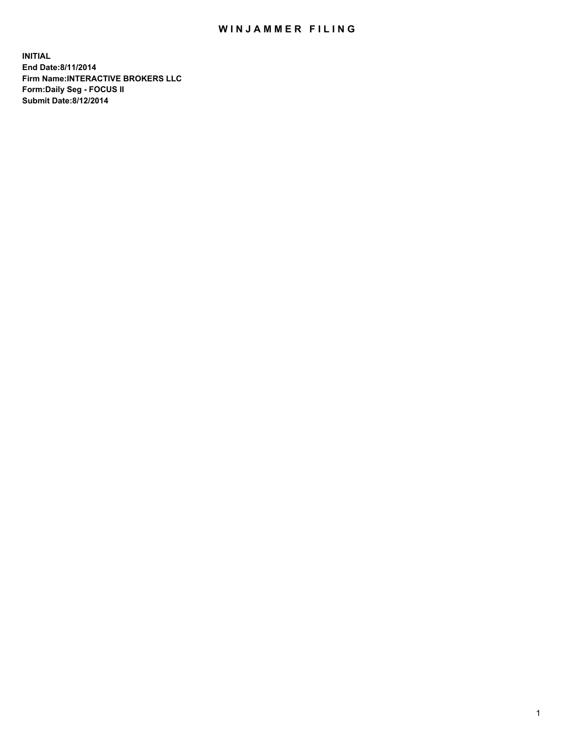## WIN JAMMER FILING

**INITIAL End Date:8/11/2014 Firm Name:INTERACTIVE BROKERS LLC Form:Daily Seg - FOCUS II Submit Date:8/12/2014**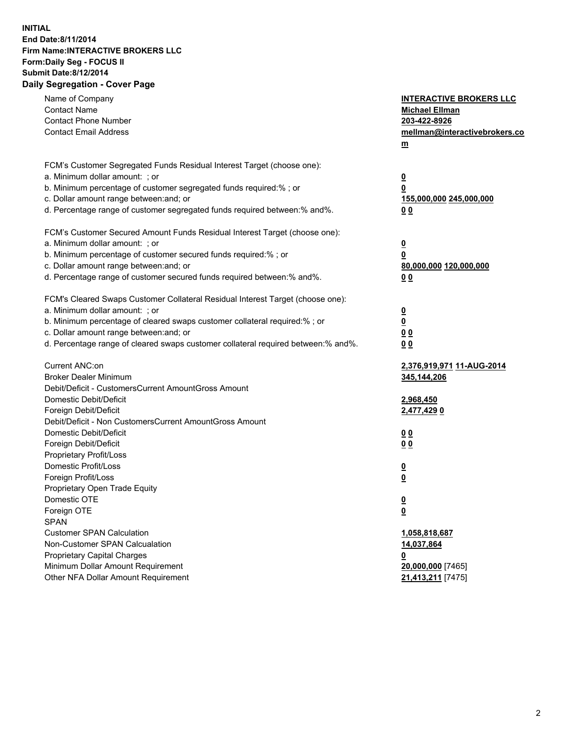## **INITIAL End Date:8/11/2014 Firm Name:INTERACTIVE BROKERS LLC Form:Daily Seg - FOCUS II Submit Date:8/12/2014 Daily Segregation - Cover Page**

| Name of Company                                                                   | <b>INTERACTIVE BROKERS LLC</b>   |
|-----------------------------------------------------------------------------------|----------------------------------|
| <b>Contact Name</b>                                                               | <b>Michael Ellman</b>            |
| <b>Contact Phone Number</b>                                                       | 203-422-8926                     |
| <b>Contact Email Address</b>                                                      | mellman@interactivebrokers.co    |
|                                                                                   | $\underline{\mathbf{m}}$         |
|                                                                                   |                                  |
| FCM's Customer Segregated Funds Residual Interest Target (choose one):            |                                  |
| a. Minimum dollar amount: ; or                                                    | <u>0</u>                         |
| b. Minimum percentage of customer segregated funds required:% ; or                | 0                                |
| c. Dollar amount range between: and; or                                           | <u>155,000,000 245,000,000</u>   |
| d. Percentage range of customer segregated funds required between:% and%.         | 00                               |
| FCM's Customer Secured Amount Funds Residual Interest Target (choose one):        |                                  |
| a. Minimum dollar amount: ; or                                                    | <u>0</u>                         |
| b. Minimum percentage of customer secured funds required:% ; or                   | 0                                |
| c. Dollar amount range between: and; or                                           | 80,000,000 120,000,000           |
| d. Percentage range of customer secured funds required between:% and%.            | 0 <sub>0</sub>                   |
|                                                                                   |                                  |
| FCM's Cleared Swaps Customer Collateral Residual Interest Target (choose one):    |                                  |
| a. Minimum dollar amount: ; or                                                    | $\overline{\mathbf{0}}$          |
| b. Minimum percentage of cleared swaps customer collateral required:% ; or        | $\overline{\mathbf{0}}$          |
| c. Dollar amount range between: and; or                                           | 0 <sub>0</sub>                   |
| d. Percentage range of cleared swaps customer collateral required between:% and%. | 0 <sub>0</sub>                   |
|                                                                                   |                                  |
| Current ANC:on                                                                    | <u>2,376,919,971 11-AUG-2014</u> |
| <b>Broker Dealer Minimum</b>                                                      | 345,144,206                      |
| Debit/Deficit - CustomersCurrent AmountGross Amount                               |                                  |
| Domestic Debit/Deficit                                                            | 2,968,450                        |
| Foreign Debit/Deficit                                                             | 2,477,429 0                      |
| Debit/Deficit - Non CustomersCurrent AmountGross Amount                           |                                  |
| Domestic Debit/Deficit                                                            | 0 <sub>0</sub>                   |
| Foreign Debit/Deficit                                                             | 0 <sub>0</sub>                   |
| Proprietary Profit/Loss                                                           |                                  |
| Domestic Profit/Loss                                                              | <u>0</u>                         |
| Foreign Profit/Loss                                                               | $\underline{\mathbf{0}}$         |
| Proprietary Open Trade Equity                                                     |                                  |
| Domestic OTE                                                                      | <u>0</u>                         |
| Foreign OTE                                                                       | <u>0</u>                         |
| <b>SPAN</b>                                                                       |                                  |
| <b>Customer SPAN Calculation</b>                                                  | 1,058,818,687                    |
| Non-Customer SPAN Calcualation                                                    | 14,037,864                       |
| <b>Proprietary Capital Charges</b>                                                | <u>0</u>                         |
| Minimum Dollar Amount Requirement                                                 | 20,000,000 [7465]                |
| Other NFA Dollar Amount Requirement                                               | 21,413,211 [7475]                |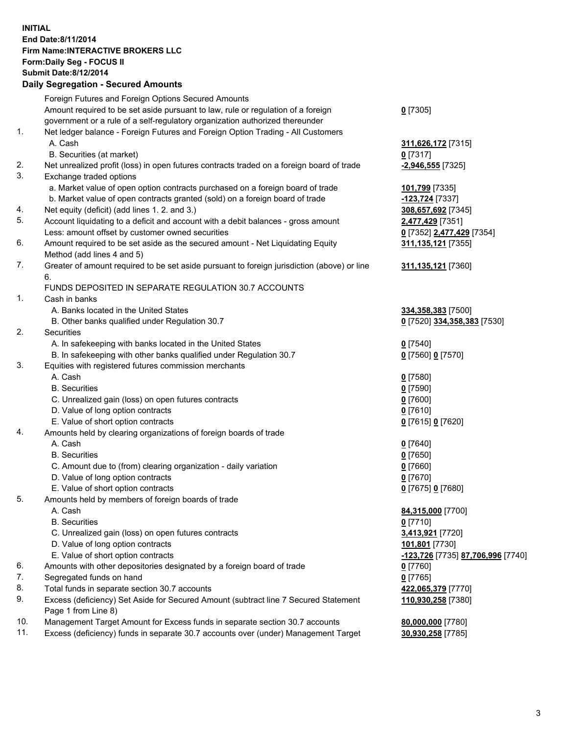## **INITIAL End Date:8/11/2014 Firm Name:INTERACTIVE BROKERS LLC Form:Daily Seg - FOCUS II Submit Date:8/12/2014 Daily Segregation - Secured Amounts**

|     | Daily Ocglegation - Occarea Anioants                                                                       |                                   |
|-----|------------------------------------------------------------------------------------------------------------|-----------------------------------|
|     | Foreign Futures and Foreign Options Secured Amounts                                                        |                                   |
|     | Amount required to be set aside pursuant to law, rule or regulation of a foreign                           | $0$ [7305]                        |
|     | government or a rule of a self-regulatory organization authorized thereunder                               |                                   |
| 1.  | Net ledger balance - Foreign Futures and Foreign Option Trading - All Customers                            |                                   |
|     | A. Cash                                                                                                    | 311,626,172 [7315]                |
|     | B. Securities (at market)                                                                                  | $0$ [7317]                        |
| 2.  | Net unrealized profit (loss) in open futures contracts traded on a foreign board of trade                  | $-2,946,555$ [7325]               |
| 3.  | Exchange traded options                                                                                    |                                   |
|     | a. Market value of open option contracts purchased on a foreign board of trade                             | 101,799 [7335]                    |
|     | b. Market value of open contracts granted (sold) on a foreign board of trade                               | -123,724 [7337]                   |
| 4.  | Net equity (deficit) (add lines 1.2. and 3.)                                                               | 308,657,692 [7345]                |
| 5.  | Account liquidating to a deficit and account with a debit balances - gross amount                          | 2,477,429 [7351]                  |
|     | Less: amount offset by customer owned securities                                                           | 0 [7352] 2,477,429 [7354]         |
| 6.  | Amount required to be set aside as the secured amount - Net Liquidating Equity                             | 311, 135, 121 [7355]              |
|     | Method (add lines 4 and 5)                                                                                 |                                   |
| 7.  | Greater of amount required to be set aside pursuant to foreign jurisdiction (above) or line                | 311, 135, 121 [7360]              |
|     | 6.                                                                                                         |                                   |
|     | FUNDS DEPOSITED IN SEPARATE REGULATION 30.7 ACCOUNTS                                                       |                                   |
| 1.  | Cash in banks                                                                                              |                                   |
|     | A. Banks located in the United States                                                                      | 334, 358, 383 [7500]              |
|     | B. Other banks qualified under Regulation 30.7                                                             | 0 [7520] 334,358,383 [7530]       |
| 2.  | Securities                                                                                                 |                                   |
|     | A. In safekeeping with banks located in the United States                                                  | $0$ [7540]                        |
|     | B. In safekeeping with other banks qualified under Regulation 30.7                                         | 0 [7560] 0 [7570]                 |
| 3.  | Equities with registered futures commission merchants                                                      |                                   |
|     | A. Cash                                                                                                    | $0$ [7580]                        |
|     | <b>B.</b> Securities                                                                                       | $0$ [7590]                        |
|     | C. Unrealized gain (loss) on open futures contracts                                                        | $0$ [7600]                        |
|     | D. Value of long option contracts                                                                          | $0$ [7610]                        |
|     | E. Value of short option contracts                                                                         | 0 [7615] 0 [7620]                 |
| 4.  | Amounts held by clearing organizations of foreign boards of trade                                          |                                   |
|     | A. Cash                                                                                                    | $0$ [7640]                        |
|     | <b>B.</b> Securities                                                                                       | $0$ [7650]                        |
|     | C. Amount due to (from) clearing organization - daily variation                                            | $0$ [7660]                        |
|     | D. Value of long option contracts                                                                          | $0$ [7670]                        |
|     | E. Value of short option contracts                                                                         | 0 [7675] 0 [7680]                 |
| 5.  | Amounts held by members of foreign boards of trade                                                         |                                   |
|     | A. Cash                                                                                                    | 84,315,000 [7700]                 |
|     | <b>B.</b> Securities                                                                                       | $0$ [7710]                        |
|     | C. Unrealized gain (loss) on open futures contracts                                                        | 3,413,921 [7720]                  |
|     | D. Value of long option contracts                                                                          | 101,801 [7730]                    |
|     | E. Value of short option contracts                                                                         | -123,726 [7735] 87,706,996 [7740] |
| 6.  | Amounts with other depositories designated by a foreign board of trade                                     | $0$ [7760]                        |
| 7.  | Segregated funds on hand                                                                                   | $0$ [7765]                        |
| 8.  | Total funds in separate section 30.7 accounts                                                              | 422,065,379 [7770]                |
| 9.  | Excess (deficiency) Set Aside for Secured Amount (subtract line 7 Secured Statement<br>Page 1 from Line 8) | 110,930,258 [7380]                |
| 10. | Management Target Amount for Excess funds in separate section 30.7 accounts                                | 80,000,000 [7780]                 |
| 11. | Excess (deficiency) funds in separate 30.7 accounts over (under) Management Target                         | 30,930,258 [7785]                 |
|     |                                                                                                            |                                   |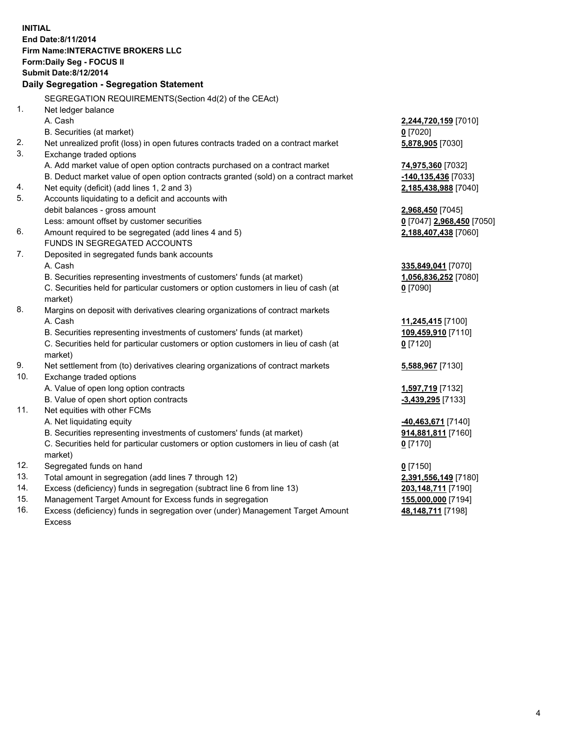**INITIAL End Date:8/11/2014 Firm Name:INTERACTIVE BROKERS LLC Form:Daily Seg - FOCUS II Submit Date:8/12/2014 Daily Segregation - Segregation Statement** SEGREGATION REQUIREMENTS(Section 4d(2) of the CEAct) 1. Net ledger balance A. Cash **2,244,720,159** [7010] B. Securities (at market) **0** [7020] 2. Net unrealized profit (loss) in open futures contracts traded on a contract market **5,878,905** [7030] 3. Exchange traded options A. Add market value of open option contracts purchased on a contract market **74,975,360** [7032] B. Deduct market value of open option contracts granted (sold) on a contract market **-140,135,436** [7033] 4. Net equity (deficit) (add lines 1, 2 and 3) **2,185,438,988** [7040] 5. Accounts liquidating to a deficit and accounts with debit balances - gross amount **2,968,450** [7045] Less: amount offset by customer securities **0** [7047] **2,968,450** [7050] 6. Amount required to be segregated (add lines 4 and 5) **2,188,407,438** [7060] FUNDS IN SEGREGATED ACCOUNTS 7. Deposited in segregated funds bank accounts A. Cash **335,849,041** [7070] B. Securities representing investments of customers' funds (at market) **1,056,836,252** [7080] C. Securities held for particular customers or option customers in lieu of cash (at market) **0** [7090] 8. Margins on deposit with derivatives clearing organizations of contract markets A. Cash **11,245,415** [7100] B. Securities representing investments of customers' funds (at market) **109,459,910** [7110] C. Securities held for particular customers or option customers in lieu of cash (at market) **0** [7120] 9. Net settlement from (to) derivatives clearing organizations of contract markets **5,588,967** [7130] 10. Exchange traded options A. Value of open long option contracts **1,597,719** [7132] B. Value of open short option contracts **-3,439,295** [7133] 11. Net equities with other FCMs A. Net liquidating equity **-40,463,671** [7140] B. Securities representing investments of customers' funds (at market) **914,881,811** [7160] C. Securities held for particular customers or option customers in lieu of cash (at market) **0** [7170] 12. Segregated funds on hand **0** [7150] 13. Total amount in segregation (add lines 7 through 12) **2,391,556,149** [7180] 14. Excess (deficiency) funds in segregation (subtract line 6 from line 13) **203,148,711** [7190] 15. Management Target Amount for Excess funds in segregation **155,000,000** [7194]

16. Excess (deficiency) funds in segregation over (under) Management Target Amount Excess

**48,148,711** [7198]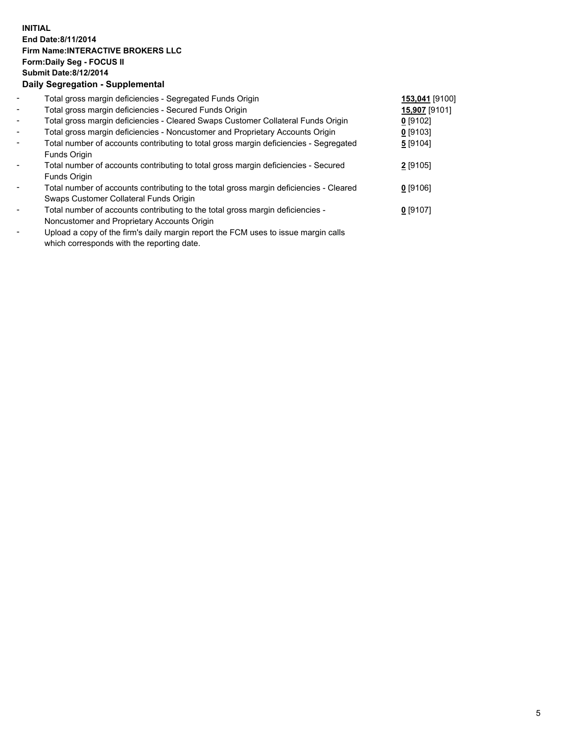## **INITIAL End Date:8/11/2014 Firm Name:INTERACTIVE BROKERS LLC Form:Daily Seg - FOCUS II Submit Date:8/12/2014 Daily Segregation - Supplemental**

| $\overline{\phantom{a}}$ | Total gross margin deficiencies - Segregated Funds Origin                                                                                                                                                                                         | 153,041 [9100] |  |
|--------------------------|---------------------------------------------------------------------------------------------------------------------------------------------------------------------------------------------------------------------------------------------------|----------------|--|
| $\blacksquare$           | Total gross margin deficiencies - Secured Funds Origin                                                                                                                                                                                            | 15,907 [9101]  |  |
| $\sim$                   | Total gross margin deficiencies - Cleared Swaps Customer Collateral Funds Origin                                                                                                                                                                  | $0$ [9102]     |  |
| $\sim$                   | Total gross margin deficiencies - Noncustomer and Proprietary Accounts Origin                                                                                                                                                                     | $0$ [9103]     |  |
| $\blacksquare$           | Total number of accounts contributing to total gross margin deficiencies - Segregated                                                                                                                                                             | 5 [9104]       |  |
|                          | Funds Origin                                                                                                                                                                                                                                      |                |  |
| $\overline{\phantom{a}}$ | Total number of accounts contributing to total gross margin deficiencies - Secured                                                                                                                                                                | 2 [9105]       |  |
|                          | Funds Origin                                                                                                                                                                                                                                      |                |  |
| Ξ.                       | Total number of accounts contributing to the total gross margin deficiencies - Cleared                                                                                                                                                            | $0$ [9106]     |  |
|                          | Swaps Customer Collateral Funds Origin                                                                                                                                                                                                            |                |  |
| ۰                        | Total number of accounts contributing to the total gross margin deficiencies -                                                                                                                                                                    | $0$ [9107]     |  |
|                          | Noncustomer and Proprietary Accounts Origin                                                                                                                                                                                                       |                |  |
|                          | The set of the $\mathcal{C}$ set of the set of the $\mathcal{C}$ and $\mathcal{C}$ and $\mathcal{C}$ is the set of the set of the set of the set of the set of the set of the set of the set of the set of the set of the set of the set of the s |                |  |

- Upload a copy of the firm's daily margin report the FCM uses to issue margin calls which corresponds with the reporting date.